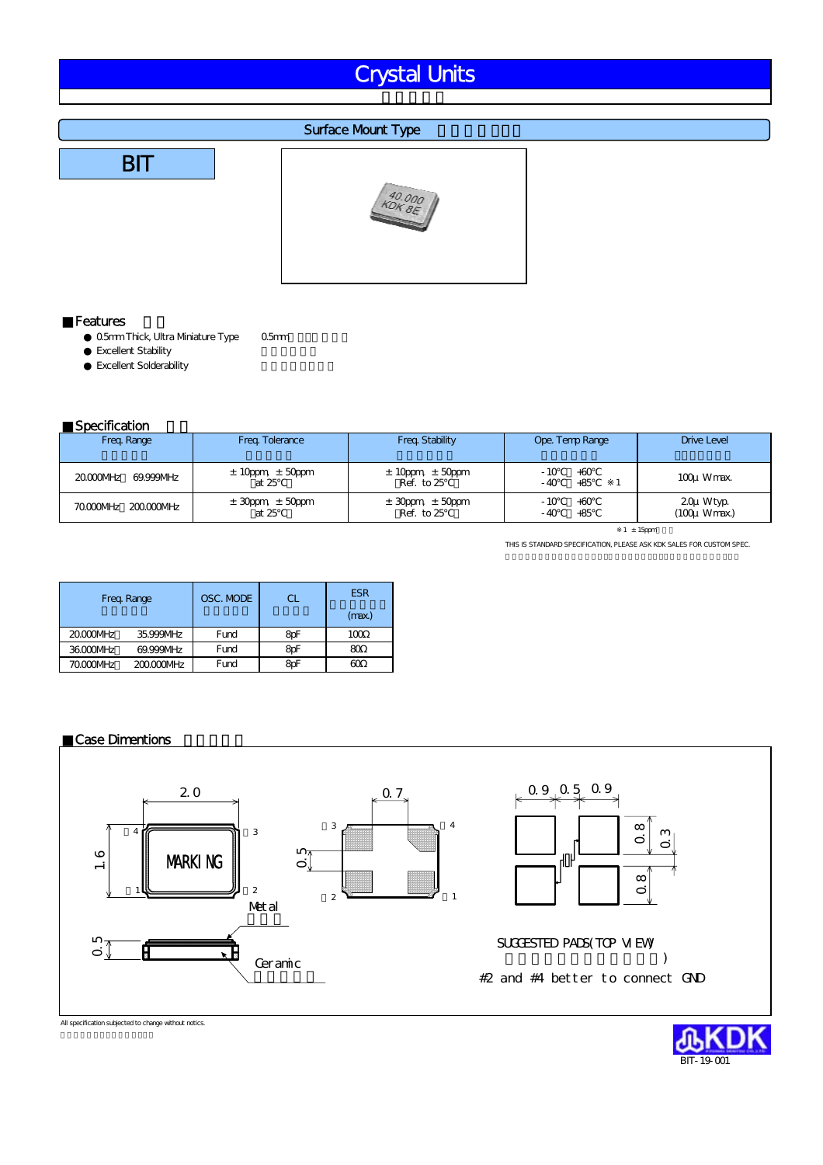# Crystal Units

#### **Surface Mount Type**





#### **Features**

0.5mm Thick, Ultra Mniature Type 0.5mm Excellent Stability Excellent Solderability

#### **Specification**

| ------------          |                                   |                                       |                                |                                |
|-----------------------|-----------------------------------|---------------------------------------|--------------------------------|--------------------------------|
| Freq. Range           | Freq. Tolerance                   | Freq. Stability                       | Ope. Temp Range                | <b>Drive Level</b>             |
| 20000MHz<br>69.999MHz | $\pm$ 10ppm, $\pm$ 50ppm<br>at 25 | $\pm$ 10ppm $\pm$ 50ppm<br>Ref. to 25 | - 10<br>$+60$<br>- 40<br>$+85$ | 100u Wmax.                     |
| 70000MHz 200.000MHz   | $\pm$ 30ppm, $\pm$ 50ppm<br>at 25 | $\pm$ 30ppm $\pm$ 50ppm<br>Ref. to 25 | - 10<br>$+60$<br>+85           | 20u Wtyp.<br>$(100\mu W$ max.) |

 $1 \pm 15$ ppm

THIS IS STANDARD SPECIFICATION, PLEASE ASK KDK SALES FOR CUSTOM SPEC.

|          | Freq. Range | OSC. MODE | СL  | <b>ESR</b><br>(max.) |
|----------|-------------|-----------|-----|----------------------|
| 20000MHz | 35.999MHz   | Fund      | 8pF | 100                  |
| 36000MHz | 69.999MHz   | Fund      | 8pF | ഌ                    |
| 70000MHz | 200000MHz   | Fund      | æF  | 60                   |

#### **Case Dimentions**



All specification subjected to change without notics.